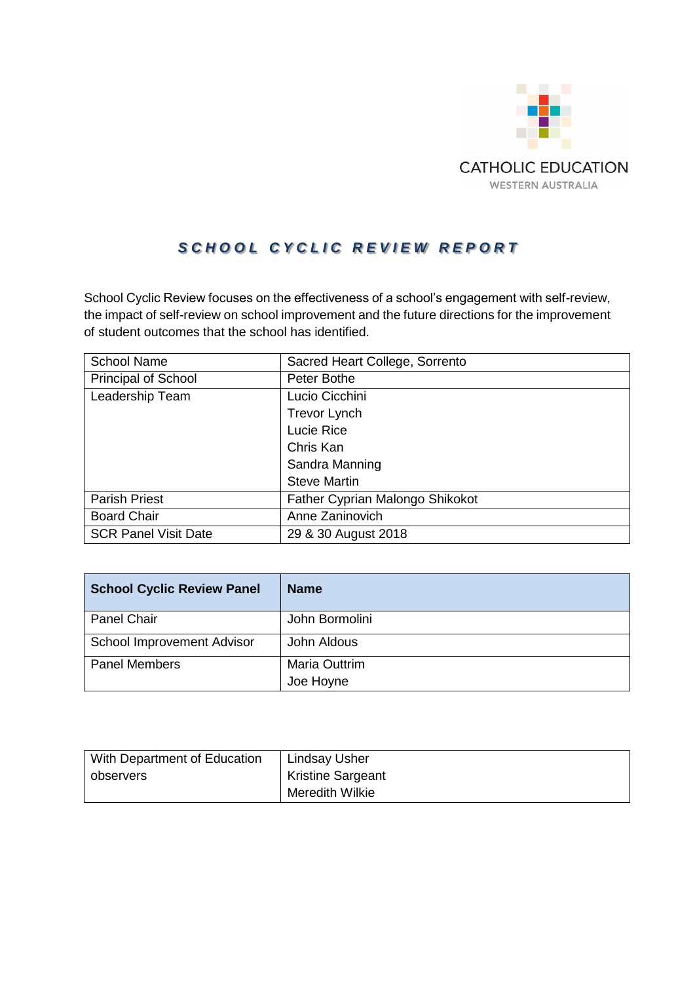

# S C H O O L C Y C L I C R E V I E W R E P O R T

School Cyclic Review focuses on the effectiveness of a school's engagement with self-review, the impact of self-review on school improvement and the future directions for the improvement of student outcomes that the school has identified.

| <b>School Name</b>          | Sacred Heart College, Sorrento  |
|-----------------------------|---------------------------------|
| <b>Principal of School</b>  | Peter Bothe                     |
| Leadership Team             | Lucio Cicchini                  |
|                             | <b>Trevor Lynch</b>             |
|                             | Lucie Rice                      |
|                             | Chris Kan                       |
|                             | Sandra Manning                  |
|                             | <b>Steve Martin</b>             |
| <b>Parish Priest</b>        | Father Cyprian Malongo Shikokot |
| <b>Board Chair</b>          | Anne Zaninovich                 |
| <b>SCR Panel Visit Date</b> | 29 & 30 August 2018             |

| <b>School Cyclic Review Panel</b> | <b>Name</b>    |
|-----------------------------------|----------------|
| <b>Panel Chair</b>                | John Bormolini |
| School Improvement Advisor        | John Aldous    |
| <b>Panel Members</b>              | Maria Outtrim  |
|                                   | Joe Hoyne      |

| With Department of Education | Lindsay Usher            |
|------------------------------|--------------------------|
| observers                    | <b>Kristine Sargeant</b> |
|                              | Meredith Wilkie          |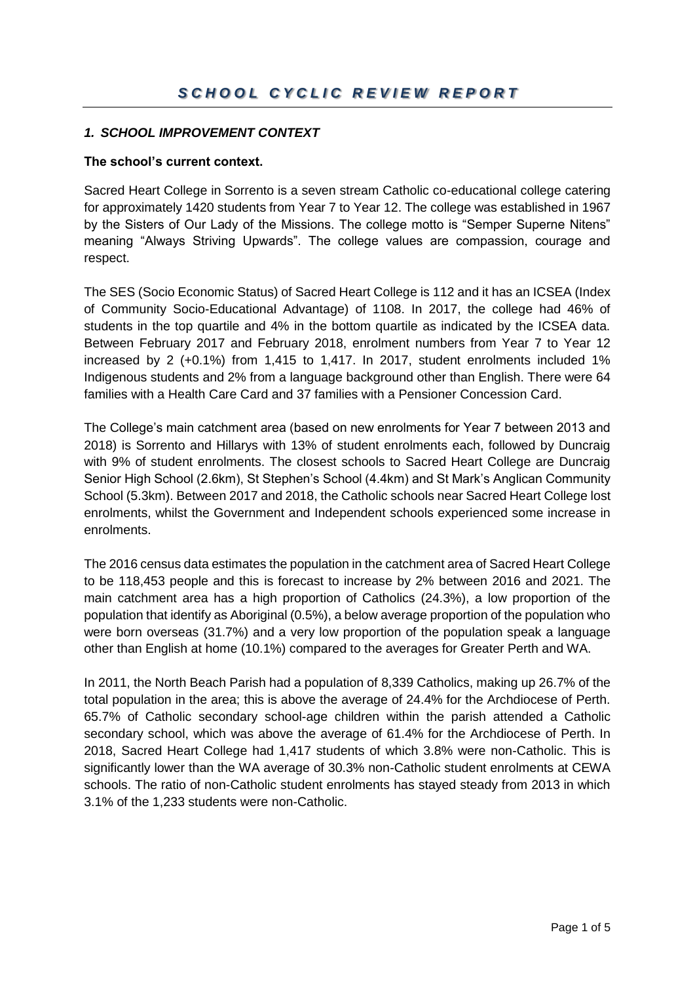## *1. SCHOOL IMPROVEMENT CONTEXT*

## **The school's current context.**

Sacred Heart College in Sorrento is a seven stream Catholic co-educational college catering for approximately 1420 students from Year 7 to Year 12. The college was established in 1967 by the Sisters of Our Lady of the Missions. The college motto is "Semper Superne Nitens" meaning "Always Striving Upwards". The college values are compassion, courage and respect.

The SES (Socio Economic Status) of Sacred Heart College is 112 and it has an ICSEA (Index of Community Socio-Educational Advantage) of 1108. In 2017, the college had 46% of students in the top quartile and 4% in the bottom quartile as indicated by the ICSEA data. Between February 2017 and February 2018, enrolment numbers from Year 7 to Year 12 increased by 2 (+0.1%) from 1,415 to 1,417. In 2017, student enrolments included 1% Indigenous students and 2% from a language background other than English. There were 64 families with a Health Care Card and 37 families with a Pensioner Concession Card.

The College's main catchment area (based on new enrolments for Year 7 between 2013 and 2018) is Sorrento and Hillarys with 13% of student enrolments each, followed by Duncraig with 9% of student enrolments. The closest schools to Sacred Heart College are Duncraig Senior High School (2.6km), St Stephen's School (4.4km) and St Mark's Anglican Community School (5.3km). Between 2017 and 2018, the Catholic schools near Sacred Heart College lost enrolments, whilst the Government and Independent schools experienced some increase in enrolments.

The 2016 census data estimates the population in the catchment area of Sacred Heart College to be 118,453 people and this is forecast to increase by 2% between 2016 and 2021. The main catchment area has a high proportion of Catholics (24.3%), a low proportion of the population that identify as Aboriginal (0.5%), a below average proportion of the population who were born overseas (31.7%) and a very low proportion of the population speak a language other than English at home (10.1%) compared to the averages for Greater Perth and WA.

In 2011, the North Beach Parish had a population of 8,339 Catholics, making up 26.7% of the total population in the area; this is above the average of 24.4% for the Archdiocese of Perth. 65.7% of Catholic secondary school-age children within the parish attended a Catholic secondary school, which was above the average of 61.4% for the Archdiocese of Perth. In 2018, Sacred Heart College had 1,417 students of which 3.8% were non-Catholic. This is significantly lower than the WA average of 30.3% non-Catholic student enrolments at CEWA schools. The ratio of non-Catholic student enrolments has stayed steady from 2013 in which 3.1% of the 1,233 students were non-Catholic.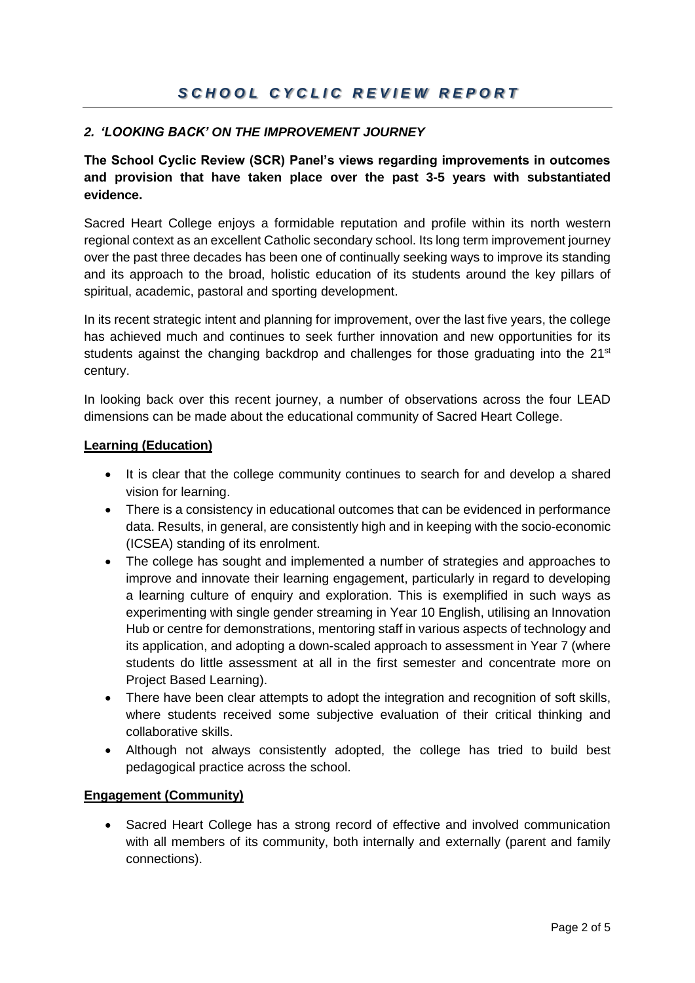# *2. 'LOOKING BACK' ON THE IMPROVEMENT JOURNEY*

**The School Cyclic Review (SCR) Panel's views regarding improvements in outcomes and provision that have taken place over the past 3-5 years with substantiated evidence.**

Sacred Heart College enjoys a formidable reputation and profile within its north western regional context as an excellent Catholic secondary school. Its long term improvement journey over the past three decades has been one of continually seeking ways to improve its standing and its approach to the broad, holistic education of its students around the key pillars of spiritual, academic, pastoral and sporting development.

In its recent strategic intent and planning for improvement, over the last five years, the college has achieved much and continues to seek further innovation and new opportunities for its students against the changing backdrop and challenges for those graduating into the  $21<sup>st</sup>$ century.

In looking back over this recent journey, a number of observations across the four LEAD dimensions can be made about the educational community of Sacred Heart College.

### **Learning (Education)**

- It is clear that the college community continues to search for and develop a shared vision for learning.
- There is a consistency in educational outcomes that can be evidenced in performance data. Results, in general, are consistently high and in keeping with the socio-economic (ICSEA) standing of its enrolment.
- The college has sought and implemented a number of strategies and approaches to improve and innovate their learning engagement, particularly in regard to developing a learning culture of enquiry and exploration. This is exemplified in such ways as experimenting with single gender streaming in Year 10 English, utilising an Innovation Hub or centre for demonstrations, mentoring staff in various aspects of technology and its application, and adopting a down-scaled approach to assessment in Year 7 (where students do little assessment at all in the first semester and concentrate more on Project Based Learning).
- There have been clear attempts to adopt the integration and recognition of soft skills, where students received some subjective evaluation of their critical thinking and collaborative skills.
- Although not always consistently adopted, the college has tried to build best pedagogical practice across the school.

## **Engagement (Community)**

• Sacred Heart College has a strong record of effective and involved communication with all members of its community, both internally and externally (parent and family connections).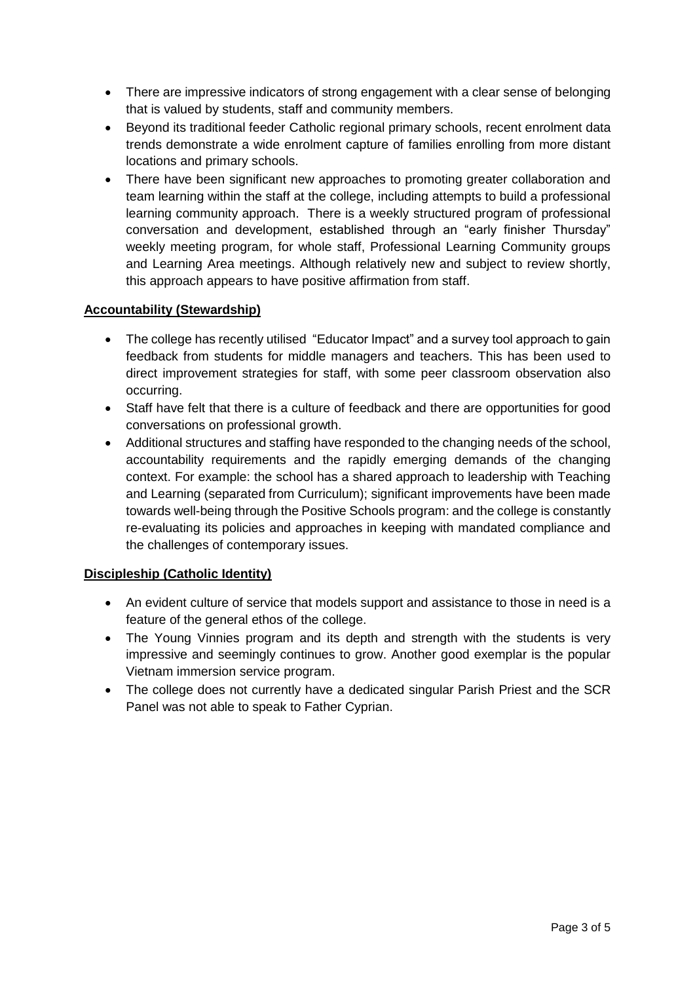- There are impressive indicators of strong engagement with a clear sense of belonging that is valued by students, staff and community members.
- Beyond its traditional feeder Catholic regional primary schools, recent enrolment data trends demonstrate a wide enrolment capture of families enrolling from more distant locations and primary schools.
- There have been significant new approaches to promoting greater collaboration and team learning within the staff at the college, including attempts to build a professional learning community approach. There is a weekly structured program of professional conversation and development, established through an "early finisher Thursday" weekly meeting program, for whole staff, Professional Learning Community groups and Learning Area meetings. Although relatively new and subject to review shortly, this approach appears to have positive affirmation from staff.

## **Accountability (Stewardship)**

- The college has recently utilised "Educator Impact" and a survey tool approach to gain feedback from students for middle managers and teachers. This has been used to direct improvement strategies for staff, with some peer classroom observation also occurring.
- Staff have felt that there is a culture of feedback and there are opportunities for good conversations on professional growth.
- Additional structures and staffing have responded to the changing needs of the school, accountability requirements and the rapidly emerging demands of the changing context. For example: the school has a shared approach to leadership with Teaching and Learning (separated from Curriculum); significant improvements have been made towards well-being through the Positive Schools program: and the college is constantly re-evaluating its policies and approaches in keeping with mandated compliance and the challenges of contemporary issues.

## **Discipleship (Catholic Identity)**

- An evident culture of service that models support and assistance to those in need is a feature of the general ethos of the college.
- The Young Vinnies program and its depth and strength with the students is very impressive and seemingly continues to grow. Another good exemplar is the popular Vietnam immersion service program.
- The college does not currently have a dedicated singular Parish Priest and the SCR Panel was not able to speak to Father Cyprian.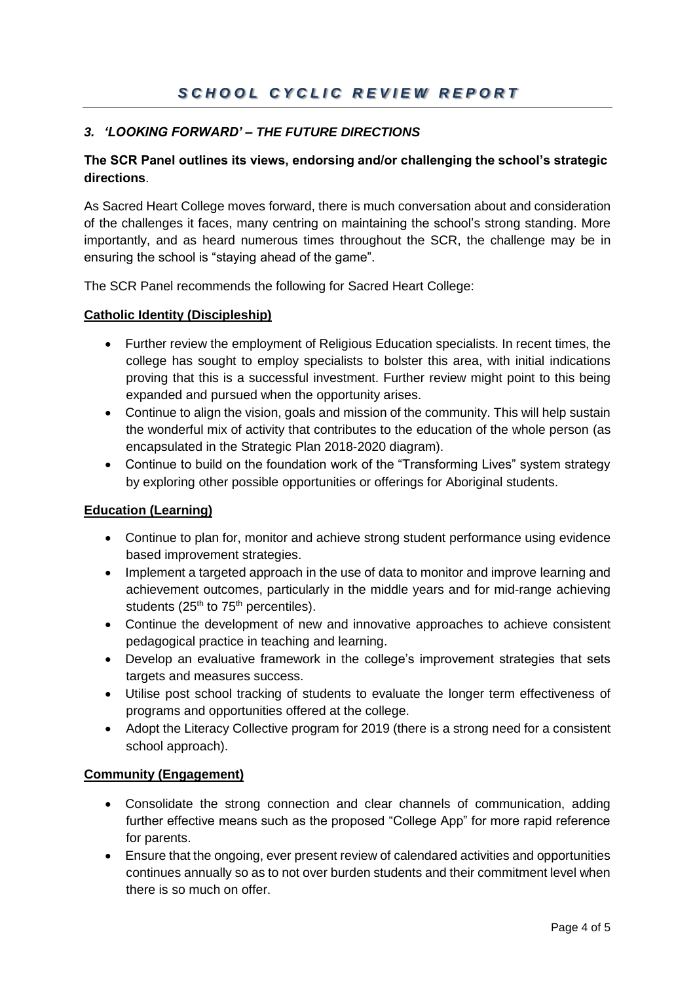# *S C H O O L C Y C L I C R E V I E W R E P O R T*

# *3. 'LOOKING FORWARD' – THE FUTURE DIRECTIONS*

## **The SCR Panel outlines its views, endorsing and/or challenging the school's strategic directions**.

As Sacred Heart College moves forward, there is much conversation about and consideration of the challenges it faces, many centring on maintaining the school's strong standing. More importantly, and as heard numerous times throughout the SCR, the challenge may be in ensuring the school is "staying ahead of the game".

The SCR Panel recommends the following for Sacred Heart College:

### **Catholic Identity (Discipleship)**

- Further review the employment of Religious Education specialists. In recent times, the college has sought to employ specialists to bolster this area, with initial indications proving that this is a successful investment. Further review might point to this being expanded and pursued when the opportunity arises.
- Continue to align the vision, goals and mission of the community. This will help sustain the wonderful mix of activity that contributes to the education of the whole person (as encapsulated in the Strategic Plan 2018-2020 diagram).
- Continue to build on the foundation work of the "Transforming Lives" system strategy by exploring other possible opportunities or offerings for Aboriginal students.

## **Education (Learning)**

- Continue to plan for, monitor and achieve strong student performance using evidence based improvement strategies.
- Implement a targeted approach in the use of data to monitor and improve learning and achievement outcomes, particularly in the middle years and for mid-range achieving students  $(25<sup>th</sup>$  to  $75<sup>th</sup>$  percentiles).
- Continue the development of new and innovative approaches to achieve consistent pedagogical practice in teaching and learning.
- Develop an evaluative framework in the college's improvement strategies that sets targets and measures success.
- Utilise post school tracking of students to evaluate the longer term effectiveness of programs and opportunities offered at the college.
- Adopt the Literacy Collective program for 2019 (there is a strong need for a consistent school approach).

#### **Community (Engagement)**

- Consolidate the strong connection and clear channels of communication, adding further effective means such as the proposed "College App" for more rapid reference for parents.
- Ensure that the ongoing, ever present review of calendared activities and opportunities continues annually so as to not over burden students and their commitment level when there is so much on offer.